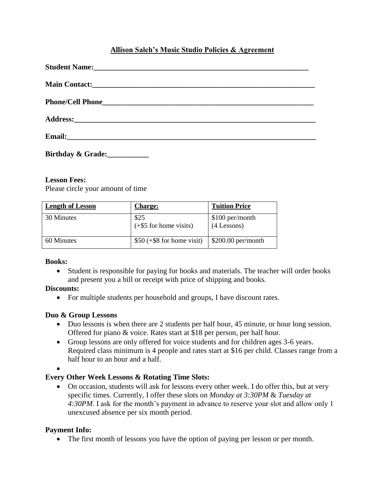## **Allison Saleh's Music Studio Policies & Agreement**

| Student Name: 1988 and 2008 and 2008 and 2008 and 2008 and 2008 and 2008 and 2008 and 2008 and 2008 and 2008 and 2008 and 2008 and 2008 and 2008 and 2008 and 2008 and 2008 and 2008 and 2008 and 2008 and 2008 and 2008 and 2 |  |
|--------------------------------------------------------------------------------------------------------------------------------------------------------------------------------------------------------------------------------|--|
|                                                                                                                                                                                                                                |  |
|                                                                                                                                                                                                                                |  |
|                                                                                                                                                                                                                                |  |
|                                                                                                                                                                                                                                |  |
| Birthday & Grade:                                                                                                                                                                                                              |  |

#### **Lesson Fees:**

Please circle your amount of time

| <b>Length of Lesson</b> | <b>Charge:</b>                   | <b>Tuition Price</b>             |
|-------------------------|----------------------------------|----------------------------------|
| 30 Minutes              | \$25<br>$(+\$5$ for home visits) | \$100 per/month<br>$(4$ Lessons) |
| 60 Minutes              | $$50 (+\$8)$ for home visit)     | $$200.00$ per/month              |

#### **Books:**

 Student is responsible for paying for books and materials. The teacher will order books and present you a bill or receipt with price of shipping and books.

#### **Discounts:**

• For multiple students per household and groups, I have discount rates.

#### **Duo & Group Lessons**

- Duo lessons is when there are 2 students per half hour, 45 minute, or hour long session. Offered for piano & voice. Rates start at \$18 per person, per half hour.
- Group lessons are only offered for voice students and for children ages 3-6 years. Required class minimum is 4 people and rates start at \$16 per child. Classes range from a half hour to an hour and a half.

 $\bullet$ 

### **Every Other Week Lessons & Rotating Time Slots:**

 On occasion, students will ask for lessons every other week. I do offer this, but at very specific times. Currently, I offer these slots on *Monday at 3:30PM* & *Tuesday at 4:30PM*. I ask for the month's payment in advance to reserve your slot and allow only 1 unexcused absence per six month period.

#### **Payment Info:**

The first month of lessons you have the option of paying per lesson or per month.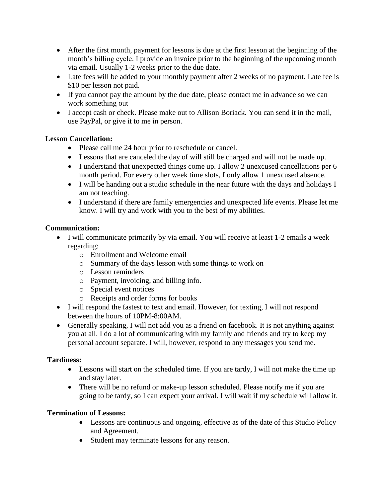- After the first month, payment for lessons is due at the first lesson at the beginning of the month's billing cycle. I provide an invoice prior to the beginning of the upcoming month via email. Usually 1-2 weeks prior to the due date.
- Late fees will be added to your monthly payment after 2 weeks of no payment. Late fee is \$10 per lesson not paid.
- If you cannot pay the amount by the due date, please contact me in advance so we can work something out
- I accept cash or check. Please make out to Allison Boriack. You can send it in the mail, use PayPal, or give it to me in person.

## **Lesson Cancellation:**

- Please call me 24 hour prior to reschedule or cancel.
- Lessons that are canceled the day of will still be charged and will not be made up.
- I understand that unexpected things come up. I allow 2 unexcused cancellations per 6 month period. For every other week time slots, I only allow 1 unexcused absence.
- I will be handing out a studio schedule in the near future with the days and holidays I am not teaching.
- I understand if there are family emergencies and unexpected life events. Please let me know. I will try and work with you to the best of my abilities.

## **Communication:**

- I will communicate primarily by via email. You will receive at least 1-2 emails a week regarding:
	- o Enrollment and Welcome email
	- o Summary of the days lesson with some things to work on
	- o Lesson reminders
	- o Payment, invoicing, and billing info.
	- o Special event notices
	- o Receipts and order forms for books
- I will respond the fastest to text and email. However, for texting, I will not respond between the hours of 10PM-8:00AM.
- Generally speaking, I will not add you as a friend on facebook. It is not anything against you at all. I do a lot of communicating with my family and friends and try to keep my personal account separate. I will, however, respond to any messages you send me.

### **Tardiness:**

- Lessons will start on the scheduled time. If you are tardy, I will not make the time up and stay later.
- There will be no refund or make-up lesson scheduled. Please notify me if you are going to be tardy, so I can expect your arrival. I will wait if my schedule will allow it.

# **Termination of Lessons:**

- Lessons are continuous and ongoing, effective as of the date of this Studio Policy and Agreement.
- Student may terminate lessons for any reason.